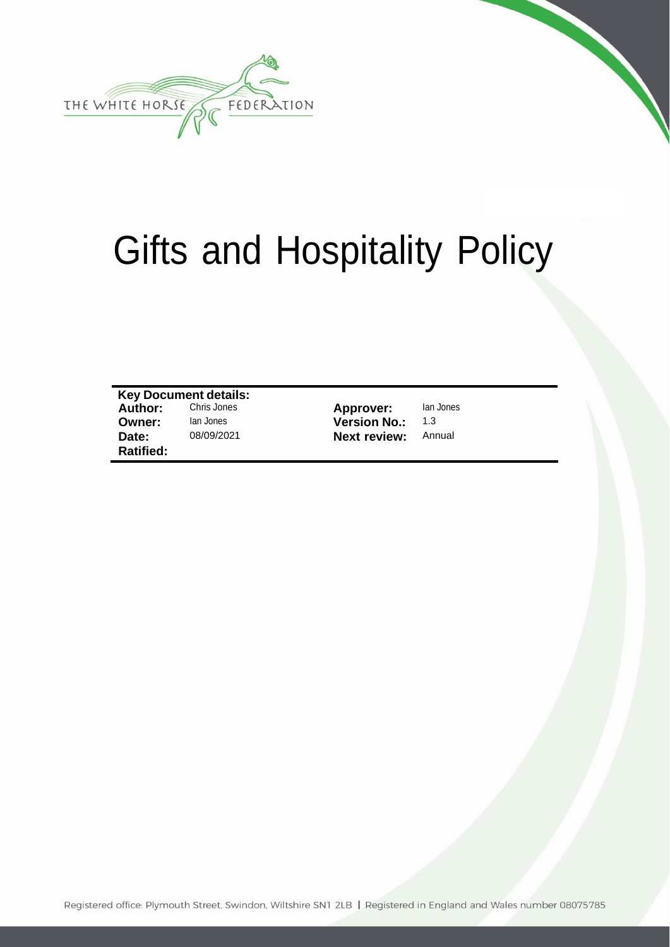

# Gifts and Hospitality Policy

**Key Document details: Owner:** Ian Jones **Version No.:** 1.3<br> **Date:** 08/09/2021 **Next review:** Annual **Ratified:**

**Chris Jones Approver:** Ian Jones<br>
Ian Jones **Contract Contract Version No.:** 1.3 **Next review:** 

Registered office: Plymouth Street, Swindon, Wiltshire SN1 2LB | Registered in England and Wales number 08075785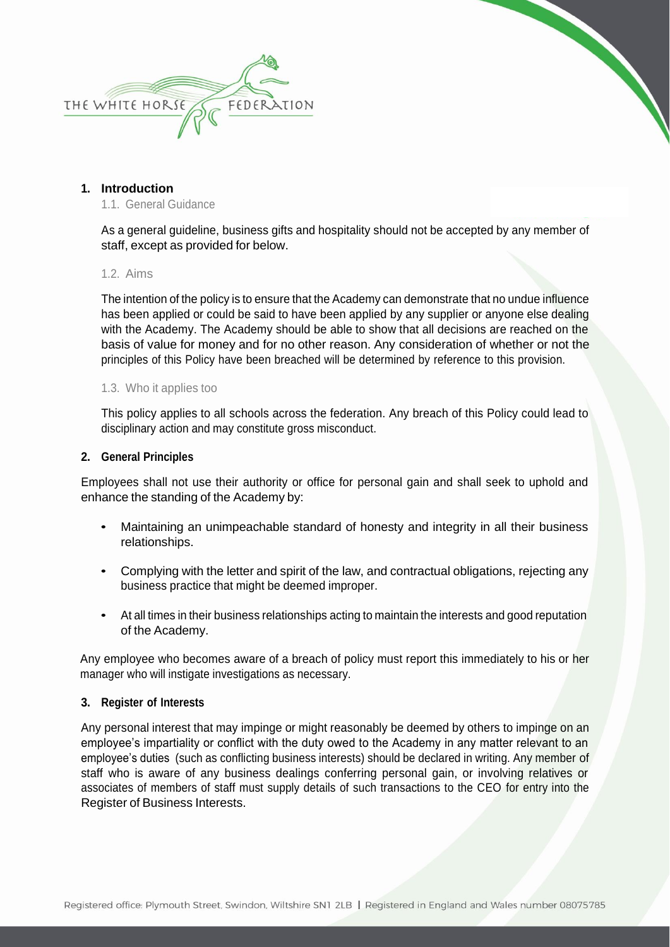

## **1. Introduction**

1.1. General Guidance

As a general guideline, business gifts and hospitality should not be accepted by any member of staff, except as provided for below.

#### 1.2. Aims

The intention of the policy is to ensure that the Academy can demonstrate that no undue influence has been applied or could be said to have been applied by any supplier or anyone else dealing with the Academy. The Academy should be able to show that all decisions are reached on the basis of value for money and for no other reason. Any consideration of whether or not the principles of this Policy have been breached will be determined by reference to this provision.

#### 1.3. Who it applies too

This policy applies to all schools across the federation. Any breach of this Policy could lead to disciplinary action and may constitute gross misconduct.

#### **2. General Principles**

Employees shall not use their authority or office for personal gain and shall seek to uphold and enhance the standing of the Academy by:

- Maintaining an unimpeachable standard of honesty and integrity in all their business relationships.
- Complying with the letter and spirit of the law, and contractual obligations, rejecting any business practice that might be deemed improper.
- At all times in their business relationships acting to maintain the interests and good reputation of the Academy.

Any employee who becomes aware of a breach of policy must report this immediately to his or her manager who will instigate investigations as necessary.

#### **3. Register of Interests**

Any personal interest that may impinge or might reasonably be deemed by others to impinge on an employee's impartiality or conflict with the duty owed to the Academy in any matter relevant to an employee's duties (such as conflicting business interests) should be declared in writing. Any member of staff who is aware of any business dealings conferring personal gain, or involving relatives or associates of members of staff must supply details of such transactions to the CEO for entry into the Register of Business Interests.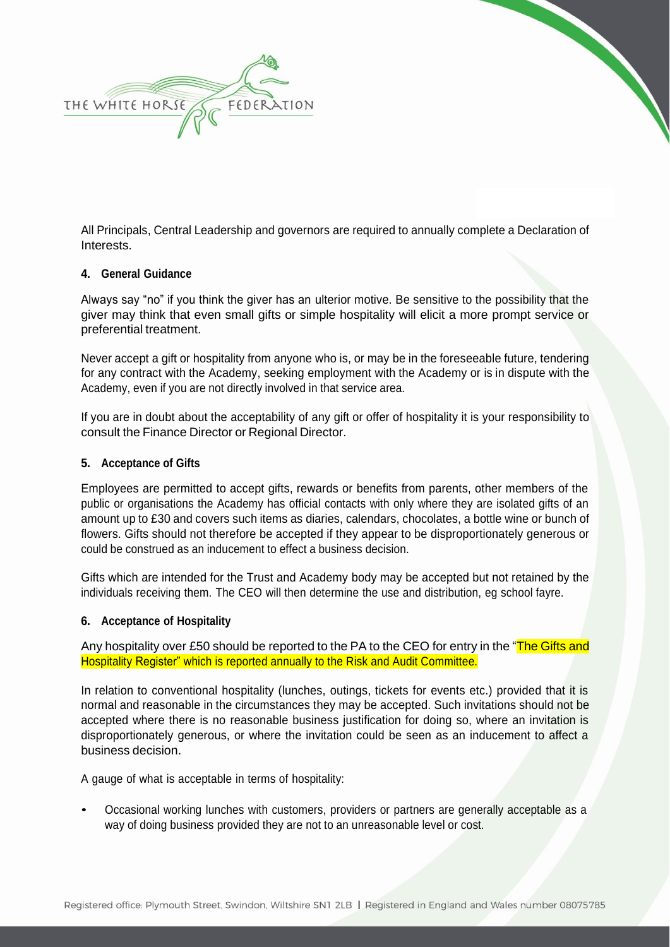

All Principals, Central Leadership and governors are required to annually complete a Declaration of Interests.

#### **4. General Guidance**

Always say "no" if you think the giver has an ulterior motive. Be sensitive to the possibility that the giver may think that even small gifts or simple hospitality will elicit a more prompt service or preferential treatment.

Never accept a gift or hospitality from anyone who is, or may be in the foreseeable future, tendering for any contract with the Academy, seeking employment with the Academy or is in dispute with the Academy, even if you are not directly involved in that service area.

If you are in doubt about the acceptability of any gift or offer of hospitality it is your responsibility to consult the Finance Director or Regional Director.

### **5. Acceptance of Gifts**

Employees are permitted to accept gifts, rewards or benefits from parents, other members of the public or organisations the Academy has official contacts with only where they are isolated gifts of an amount up to £30 and covers such items as diaries, calendars, chocolates, a bottle wine or bunch of flowers. Gifts should not therefore be accepted if they appear to be disproportionately generous or could be construed as an inducement to effect a business decision.

Gifts which are intended for the Trust and Academy body may be accepted but not retained by the individuals receiving them. The CEO will then determine the use and distribution, eg school fayre.

#### **6. Acceptance of Hospitality**

Any hospitality over £50 should be reported to the PA to the CEO for entry in the "The Gifts and Hospitality Register" which is reported annually to the Risk and Audit Committee.

In relation to conventional hospitality (lunches, outings, tickets for events etc.) provided that it is normal and reasonable in the circumstances they may be accepted. Such invitations should not be accepted where there is no reasonable business justification for doing so, where an invitation is disproportionately generous, or where the invitation could be seen as an inducement to affect a business decision.

A gauge of what is acceptable in terms of hospitality:

• Occasional working lunches with customers, providers or partners are generally acceptable as <sup>a</sup> way of doing business provided they are not to an unreasonable level or cost.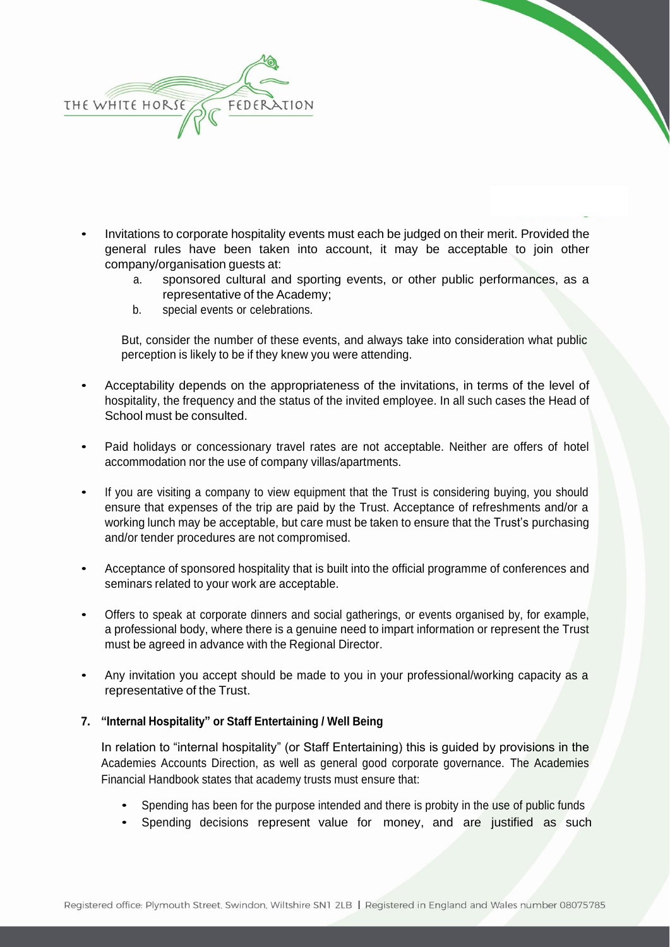

- Invitations to corporate hospitality events must each be judged on their merit. Provided the general rules have been taken into account, it may be acceptable to join other company/organisation guests at:
	- a. sponsored cultural and sporting events, or other public performances, as a representative of the Academy;
	- b. special events or celebrations.

But, consider the number of these events, and always take into consideration what public perception is likely to be if they knew you were attending.

- Acceptability depends on the appropriateness of the invitations, in terms of the level of hospitality, the frequency and the status of the invited employee. In all such cases the Head of School must be consulted.
- Paid holidays or concessionary travel rates are not acceptable. Neither are offers of hotel accommodation nor the use of company villas/apartments.
- If you are visiting a company to view equipment that the Trust is considering buying, you should ensure that expenses of the trip are paid by the Trust. Acceptance of refreshments and/or a working lunch may be acceptable, but care must be taken to ensure that the Trust's purchasing and/or tender procedures are not compromised.
- Acceptance of sponsored hospitality that is built into the official programme of conferences and seminars related to your work are acceptable.
- Offers to speak at corporate dinners and social gatherings, or events organised by, for example, a professional body, where there is a genuine need to impart information or represent the Trust must be agreed in advance with the Regional Director.
- Any invitation you accept should be made to you in your professional/working capacity as a representative of the Trust.

## **7. "Internal Hospitality" or Staff Entertaining / Well Being**

In relation to "internal hospitality" (or Staff Entertaining) this is guided by provisions in the Academies Accounts Direction, as well as general good corporate governance. The Academies Financial Handbook states that academy trusts must ensure that:

- Spending has been for the purpose intended and there is probity in the use of public funds
- Spending decisions represent value for money, and are justified as such